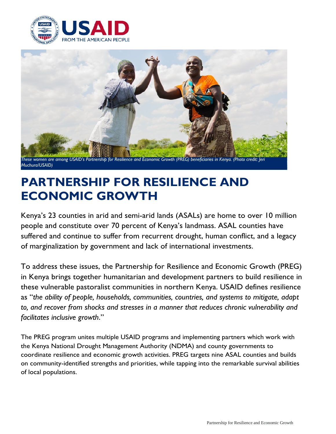



**PARTNERSHIP FOR RESILIENCE AND ECONOMIC GROWTH**

Kenya's 23 counties in arid and semi-arid lands (ASALs) are home to over 10 million people and constitute over 70 percent of Kenya's landmass. ASAL counties have

suffered and continue to suffer from recurrent drought, human conflict, and a legacy of marginalization by government and lack of international investments.

To address these issues, the Partnership for Resilience and Economic Growth (PREG) in Kenya brings together humanitarian and development partners to build resilience in these vulnerable pastoralist communities in northern Kenya. USAID defines resilience as "*the ability of people, households, communities, countries, and systems to mitigate, adapt to, and recover from shocks and stresses in a manner that reduces chronic vulnerability and facilitates inclusive growth*."

The PREG program unites multiple USAID programs and implementing partners which work with the Kenya National Drought Management Authority (NDMA) and county governments to coordinate resilience and economic growth activities. PREG targets nine ASAL counties and builds on community-identified strengths and priorities, while tapping into the remarkable survival abilities of local populations.